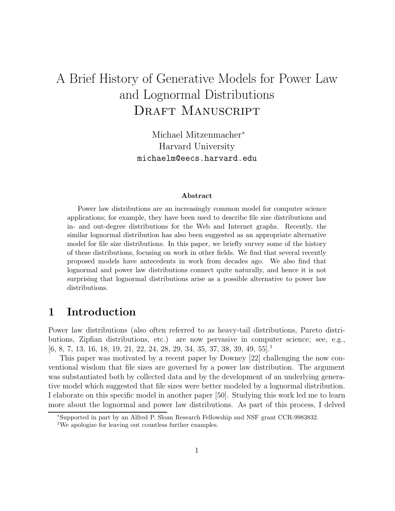# A Brief History of Generative Models for Power Law and Lognormal Distributions DRAFT MANUSCRIPT

Michael Mitzenmacher<sup>∗</sup> Harvard University michaelm@eecs.harvard.edu

#### **Abstract**

Power law distributions are an increasingly common model for computer science applications; for example, they have been used to describe file size distributions and in- and out-degree distributions for the Web and Internet graphs. Recently, the similar lognormal distribution has also been suggested as an appropriate alternative model for file size distributions. In this paper, we briefly survey some of the history of these distributions, focusing on work in other fields. We find that several recently proposed models have antecedents in work from decades ago. We also find that lognormal and power law distributions connect quite naturally, and hence it is not surprising that lognormal distributions arise as a possible alternative to power law distributions.

#### **1 Introduction**

Power law distributions (also often referred to as heavy-tail distributions, Pareto distributions, Zipfian distributions, etc.) are now pervasive in computer science; see, e.g.,  $[6, 8, 7, 13, 16, 18, 19, 21, 22, 24, 28, 29, 34, 35, 37, 38, 39, 49, 55]$ 

This paper was motivated by a recent paper by Downey [22] challenging the now conventional wisdom that file sizes are governed by a power law distribution. The argument was substantiated both by collected data and by the development of an underlying generative model which suggested that file sizes were better modeled by a lognormal distribution. I elaborate on this specific model in another paper [50]. Studying this work led me to learn more about the lognormal and power law distributions. As part of this process, I delved

<sup>∗</sup>Supported in part by an Alfred P. Sloan Research Fellowship and NSF grant CCR-9983832.

<sup>&</sup>lt;sup>1</sup>We apologize for leaving out countless further examples.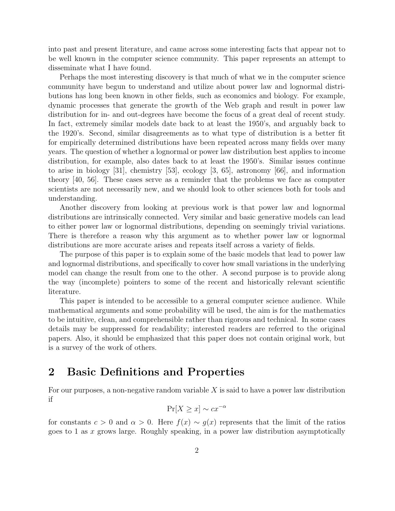into past and present literature, and came across some interesting facts that appear not to be well known in the computer science community. This paper represents an attempt to disseminate what I have found.

Perhaps the most interesting discovery is that much of what we in the computer science community have begun to understand and utilize about power law and lognormal distributions has long been known in other fields, such as economics and biology. For example, dynamic processes that generate the growth of the Web graph and result in power law distribution for in- and out-degrees have become the focus of a great deal of recent study. In fact, extremely similar models date back to at least the 1950's, and arguably back to the 1920's. Second, similar disagreements as to what type of distribution is a better fit for empirically determined distributions have been repeated across many fields over many years. The question of whether a lognormal or power law distribution best applies to income distribution, for example, also dates back to at least the 1950's. Similar issues continue to arise in biology [31], chemistry [53], ecology [3, 65], astronomy [66], and information theory [40, 56]. These cases serve as a reminder that the problems we face as computer scientists are not necessarily new, and we should look to other sciences both for tools and understanding.

Another discovery from looking at previous work is that power law and lognormal distributions are intrinsically connected. Very similar and basic generative models can lead to either power law or lognormal distributions, depending on seemingly trivial variations. There is therefore a reason why this argument as to whether power law or lognormal distributions are more accurate arises and repeats itself across a variety of fields.

The purpose of this paper is to explain some of the basic models that lead to power law and lognormal distributions, and specifically to cover how small variations in the underlying model can change the result from one to the other. A second purpose is to provide along the way (incomplete) pointers to some of the recent and historically relevant scientific literature.

This paper is intended to be accessible to a general computer science audience. While mathematical arguments and some probability will be used, the aim is for the mathematics to be intuitive, clean, and comprehensible rather than rigorous and technical. In some cases details may be suppressed for readability; interested readers are referred to the original papers. Also, it should be emphasized that this paper does not contain original work, but is a survey of the work of others.

### **2 Basic Definitions and Properties**

For our purposes, a non-negative random variable  $X$  is said to have a power law distribution if

$$
\Pr[X \ge x] \sim cx^{-\alpha}
$$

for constants  $c > 0$  and  $\alpha > 0$ . Here  $f(x) \sim g(x)$  represents that the limit of the ratios goes to 1 as x grows large. Roughly speaking, in a power law distribution asymptotically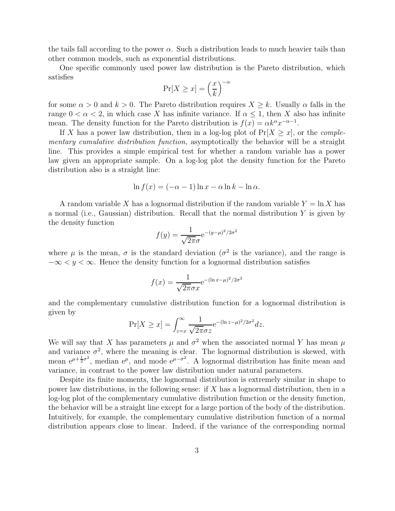the tails fall according to the power  $\alpha$ . Such a distribution leads to much heavier tails than other common models, such as exponential distributions.

One specific commonly used power law distribution is the Pareto distribution, which satisfies −α

$$
\Pr[X \ge x] = \left(\frac{x}{k}\right)^{-}
$$

for some  $\alpha > 0$  and  $k > 0$ . The Pareto distribution requires  $X \geq k$ . Usually  $\alpha$  falls in the range  $0 < \alpha < 2$ , in which case X has infinite variance. If  $\alpha < 1$ , then X also has infinite mean. The density function for the Pareto distribution is  $f(x) = \alpha k^{\alpha} x^{-\alpha-1}$ .

If X has a power law distribution, then in a log-log plot of  $Pr[X \geq x]$ , or the *complementary cumulative distribution function*, asymptotically the behavior will be a straight line. This provides a simple empirical test for whether a random variable has a power law given an appropriate sample. On a log-log plot the density function for the Pareto distribution also is a straight line:

$$
\ln f(x) = (-\alpha - 1)\ln x - \alpha \ln k - \ln \alpha.
$$

A random variable X has a lognormal distribution if the random variable  $Y = \ln X$  has a normal (i.e., Gaussian) distribution. Recall that the normal distribution  $Y$  is given by the density function

$$
f(y) = \frac{1}{\sqrt{2\pi}\sigma} e^{-(y-\mu)^2/2\sigma^2}
$$

where  $\mu$  is the mean,  $\sigma$  is the standard deviation ( $\sigma^2$  is the variance), and the range is  $-\infty < y < \infty$ . Hence the density function for a lognormal distribution satisfies

$$
f(x) = \frac{1}{\sqrt{2\pi}\sigma x} e^{-(\ln x - \mu)^2/2\sigma^2}
$$

and the complementary cumulative distribution function for a lognormal distribution is given by

$$
\Pr[X \ge x] = \int_{z=x}^{\infty} \frac{1}{\sqrt{2\pi}\sigma z} e^{-(\ln z - \mu)^2/2\sigma^2} dz.
$$

We will say that X has parameters  $\mu$  and  $\sigma^2$  when the associated normal Y has mean  $\mu$ and variance  $\sigma^2$ , where the meaning is clear. The lognormal distribution is skewed, with mean  $e^{\mu + \frac{1}{2}\sigma^2}$ , median  $e^{\mu}$ , and mode  $e^{\mu - \sigma^2}$ . A lognormal distribution has finite mean and variance, in contrast to the power law distribution under natural parameters.

Despite its finite moments, the lognormal distribution is extremely similar in shape to power law distributions, in the following sense: if X has a lognormal distribution, then in a log-log plot of the complementary cumulative distribution function or the density function, the behavior will be a straight line except for a large portion of the body of the distribution. Intuitively, for example, the complementary cumulative distribution function of a normal distribution appears close to linear. Indeed, if the variance of the corresponding normal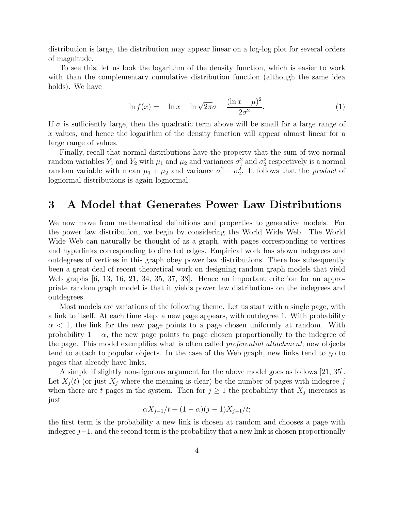distribution is large, the distribution may appear linear on a log-log plot for several orders of magnitude.

To see this, let us look the logarithm of the density function, which is easier to work with than the complementary cumulative distribution function (although the same idea holds). We have

$$
\ln f(x) = -\ln x - \ln \sqrt{2\pi} \sigma - \frac{(\ln x - \mu)^2}{2\sigma^2}.
$$
 (1)

If  $\sigma$  is sufficiently large, then the quadratic term above will be small for a large range of x values, and hence the logarithm of the density function will appear almost linear for a large range of values.

Finally, recall that normal distributions have the property that the sum of two normal random variables  $Y_1$  and  $Y_2$  with  $\mu_1$  and  $\mu_2$  and variances  $\sigma_1^2$  and  $\sigma_2^2$  respectively is a normal random variable with mean  $\mu_1 + \mu_2$  and variance  $\sigma_1^2 + \sigma_2^2$ . It follows that the *product* of lognormal distributions is again lognormal.

#### **3 A Model that Generates Power Law Distributions**

We now move from mathematical definitions and properties to generative models. For the power law distribution, we begin by considering the World Wide Web. The World Wide Web can naturally be thought of as a graph, with pages corresponding to vertices and hyperlinks corresponding to directed edges. Empirical work has shown indegrees and outdegrees of vertices in this graph obey power law distributions. There has subsequently been a great deal of recent theoretical work on designing random graph models that yield Web graphs [6, 13, 16, 21, 34, 35, 37, 38]. Hence an important criterion for an appropriate random graph model is that it yields power law distributions on the indegrees and outdegrees.

Most models are variations of the following theme. Let us start with a single page, with a link to itself. At each time step, a new page appears, with outdegree 1. With probability  $\alpha$  < 1, the link for the new page points to a page chosen uniformly at random. With probability  $1 - \alpha$ , the new page points to page chosen proportionally to the indegree of the page. This model exemplifies what is often called *preferential attachment*; new objects tend to attach to popular objects. In the case of the Web graph, new links tend to go to pages that already have links.

A simple if slightly non-rigorous argument for the above model goes as follows [21, 35]. Let  $X_j(t)$  (or just  $X_j$  where the meaning is clear) be the number of pages with indegree j when there are t pages in the system. Then for  $j \geq 1$  the probability that  $X_j$  increases is just

$$
\alpha X_{j-1}/t + (1 - \alpha)(j - 1)X_{j-1}/t;
$$

the first term is the probability a new link is chosen at random and chooses a page with indegree  $j-1$ , and the second term is the probability that a new link is chosen proportionally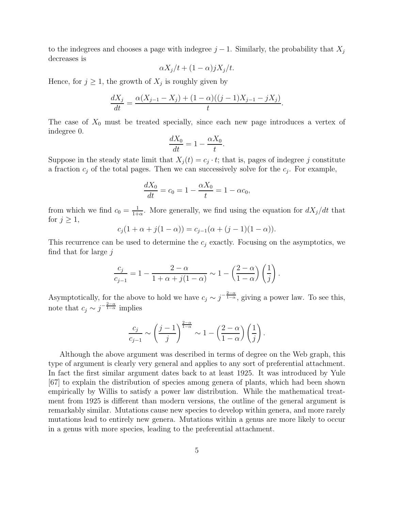to the indegrees and chooses a page with indegree  $j-1$ . Similarly, the probability that  $X_j$ decreases is

$$
\alpha X_j/t + (1-\alpha)jX_j/t.
$$

Hence, for  $j \geq 1$ , the growth of  $X_j$  is roughly given by

$$
\frac{dX_j}{dt} = \frac{\alpha(X_{j-1} - X_j) + (1 - \alpha)((j-1)X_{j-1} - jX_j)}{t}.
$$

The case of  $X_0$  must be treated specially, since each new page introduces a vertex of indegree 0.

$$
\frac{dX_0}{dt} = 1 - \frac{\alpha X_0}{t}.
$$

Suppose in the steady state limit that  $X_i(t) = c_i \cdot t$ ; that is, pages of indegree j constitute a fraction  $c_j$  of the total pages. Then we can successively solve for the  $c_j$ . For example,

$$
\frac{dX_0}{dt} = c_0 = 1 - \frac{\alpha X_0}{t} = 1 - \alpha c_0,
$$

from which we find  $c_0 = \frac{1}{1+\alpha}$ . More generally, we find using the equation for  $dX_j/dt$  that for  $j \geq 1$ ,

$$
c_j(1+\alpha+j(1-\alpha)) = c_{j-1}(\alpha+(j-1)(1-\alpha)).
$$

This recurrence can be used to determine the  $c_i$  exactly. Focusing on the asymptotics, we find that for large  $j$ 

$$
\frac{c_j}{c_{j-1}} = 1 - \frac{2-\alpha}{1+\alpha+j(1-\alpha)} \sim 1 - \left(\frac{2-\alpha}{1-\alpha}\right)\left(\frac{1}{j}\right).
$$

Asymptotically, for the above to hold we have  $c_j \sim j^{-\frac{2-\alpha}{1-\alpha}}$ , giving a power law. To see this, note that  $c_j \sim j^{-\frac{2-\alpha}{1-\alpha}}$  implies

$$
\frac{c_j}{c_{j-1}} \sim \left(\frac{j-1}{j}\right)^{\frac{2-\alpha}{1-\alpha}} \sim 1 - \left(\frac{2-\alpha}{1-\alpha}\right) \left(\frac{1}{j}\right).
$$

Although the above argument was described in terms of degree on the Web graph, this type of argument is clearly very general and applies to any sort of preferential attachment. In fact the first similar argument dates back to at least 1925. It was introduced by Yule [67] to explain the distribution of species among genera of plants, which had been shown empirically by Willis to satisfy a power law distribution. While the mathematical treatment from 1925 is different than modern versions, the outline of the general argument is remarkably similar. Mutations cause new species to develop within genera, and more rarely mutations lead to entirely new genera. Mutations within a genus are more likely to occur in a genus with more species, leading to the preferential attachment.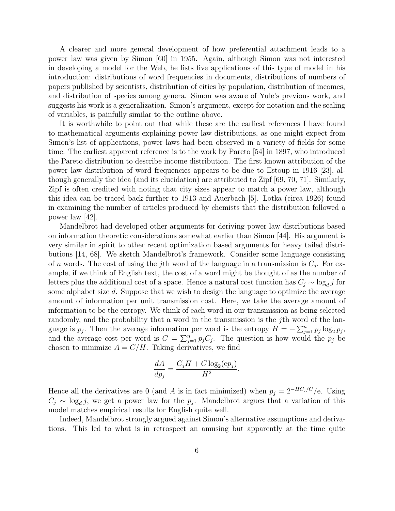A clearer and more general development of how preferential attachment leads to a power law was given by Simon [60] in 1955. Again, although Simon was not interested in developing a model for the Web, he lists five applications of this type of model in his introduction: distributions of word frequencies in documents, distributions of numbers of papers published by scientists, distribution of cities by population, distribution of incomes, and distribution of species among genera. Simon was aware of Yule's previous work, and suggests his work is a generalization. Simon's argument, except for notation and the scaling of variables, is painfully similar to the outline above.

It is worthwhile to point out that while these are the earliest references I have found to mathematical arguments explaining power law distributions, as one might expect from Simon's list of applications, power laws had been observed in a variety of fields for some time. The earliest apparent reference is to the work by Pareto [54] in 1897, who introduced the Pareto distribution to describe income distribution. The first known attribution of the power law distribution of word frequencies appears to be due to Estoup in 1916 [23], although generally the idea (and its elucidation) are attributed to  $\text{Zipf } [69, 70, 71]$ . Similarly, Zipf is often credited with noting that city sizes appear to match a power law, although this idea can be traced back further to 1913 and Auerbach  $[5]$ . Lotka (circa 1926) found in examining the number of articles produced by chemists that the distribution followed a power law [42].

Mandelbrot had developed other arguments for deriving power law distributions based on information theoretic considerations somewhat earlier than Simon [44]. His argument is very similar in spirit to other recent optimization based arguments for heavy tailed distributions [14, 68]. We sketch Mandelbrot's framework. Consider some language consisting of n words. The cost of using the jth word of the language in a transmission is  $C_j$ . For example, if we think of English text, the cost of a word might be thought of as the number of letters plus the additional cost of a space. Hence a natural cost function has  $C_j \sim \log_d j$  for some alphabet size d. Suppose that we wish to design the language to optimize the average amount of information per unit transmission cost. Here, we take the average amount of information to be the entropy. We think of each word in our transmission as being selected randomly, and the probability that a word in the transmission is the j<sup>th</sup> word of the language is  $p_j$ . Then the average information per word is the entropy  $H = -\sum_{j=1}^n p_j \log_2 p_j$ , and the average cost per word is  $C = \sum_{j=1}^{n} p_j C_j$ . The question is how would the  $p_j$  be chosen to minimize  $A = C/H$ . Taking derivatives, we find

$$
\frac{dA}{dp_j} = \frac{C_j H + C \log_2(ep_j)}{H^2}.
$$

Hence all the derivatives are 0 (and A is in fact minimized) when  $p_j = 2^{-HC_j/C}/e$ . Using  $C_i \sim \log_d i$ , we get a power law for the  $p_i$ . Mandelbrot argues that a variation of this model matches empirical results for English quite well.

Indeed, Mandelbrot strongly argued against Simon's alternative assumptions and derivations. This led to what is in retrospect an amusing but apparently at the time quite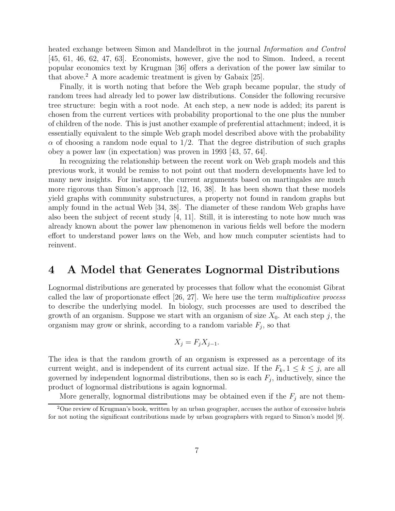heated exchange between Simon and Mandelbrot in the journal *Information and Control* [45, 61, 46, 62, 47, 63]. Economists, however, give the nod to Simon. Indeed, a recent popular economics text by Krugman [36] offers a derivation of the power law similar to that above.<sup>2</sup> A more academic treatment is given by Gabaix  $[25]$ .

Finally, it is worth noting that before the Web graph became popular, the study of random trees had already led to power law distributions. Consider the following recursive tree structure: begin with a root node. At each step, a new node is added; its parent is chosen from the current vertices with probability proportional to the one plus the number of children of the node. This is just another example of preferential attachment; indeed, it is essentially equivalent to the simple Web graph model described above with the probability  $\alpha$  of choosing a random node equal to 1/2. That the degree distribution of such graphs obey a power law (in expectation) was proven in  $1993$  [43, 57, 64].

In recognizing the relationship between the recent work on Web graph models and this previous work, it would be remiss to not point out that modern developments have led to many new insights. For instance, the current arguments based on martingales are much more rigorous than Simon's approach [12, 16, 38]. It has been shown that these models yield graphs with community substructures, a property not found in random graphs but amply found in the actual Web [34, 38]. The diameter of these random Web graphs have also been the subject of recent study  $[4, 11]$ . Still, it is interesting to note how much was already known about the power law phenomenon in various fields well before the modern effort to understand power laws on the Web, and how much computer scientists had to reinvent.

#### **4 A Model that Generates Lognormal Distributions**

Lognormal distributions are generated by processes that follow what the economist Gibrat called the law of proportionate effect [26, 27]. We here use the term *multiplicative process* to describe the underlying model. In biology, such processes are used to described the growth of an organism. Suppose we start with an organism of size  $X_0$ . At each step j, the organism may grow or shrink, according to a random variable  $F_j$ , so that

$$
X_j = F_j X_{j-1}.
$$

The idea is that the random growth of an organism is expressed as a percentage of its current weight, and is independent of its current actual size. If the  $F_k$ ,  $1 \leq k \leq j$ , are all governed by independent lognormal distributions, then so is each  $F_j$ , inductively, since the product of lognormal distributions is again lognormal.

More generally, lognormal distributions may be obtained even if the  $F_j$  are not them-

<sup>&</sup>lt;sup>2</sup>One review of Krugman's book, written by an urban geographer, accuses the author of excessive hubris for not noting the significant contributions made by urban geographers with regard to Simon's model [9].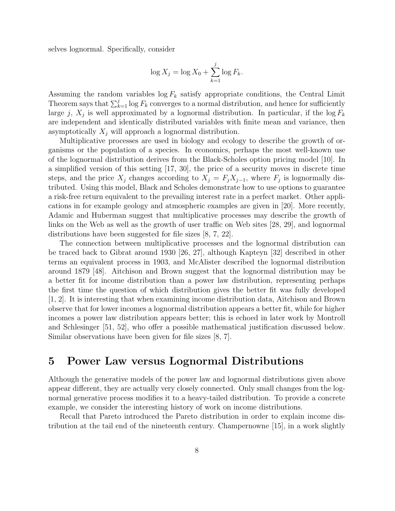selves lognormal. Specifically, consider

$$
\log X_j = \log X_0 + \sum_{k=1}^j \log F_k.
$$

Assuming the random variables  $\log F_k$  satisfy appropriate conditions, the Central Limit Theorem says that  $\sum_{k=1}^{j} \log F_k$  converges to a normal distribution, and hence for sufficiently large j,  $X_j$  is well approximated by a lognormal distribution. In particular, if the log  $F_k$ are independent and identically distributed variables with finite mean and variance, then asymptotically  $X_i$  will approach a lognormal distribution.

Multiplicative processes are used in biology and ecology to describe the growth of organisms or the population of a species. In economics, perhaps the most well-known use of the lognormal distribution derives from the Black-Scholes option pricing model [10]. In a simplified version of this setting [17, 30], the price of a security moves in discrete time steps, and the price  $X_j$  changes according to  $X_j = F_j X_{j-1}$ , where  $F_j$  is lognormally distributed. Using this model, Black and Scholes demonstrate how to use options to guarantee a risk-free return equivalent to the prevailing interest rate in a perfect market. Other applications in for example geology and atmospheric examples are given in [20]. More recently, Adamic and Huberman suggest that multiplicative processes may describe the growth of links on the Web as well as the growth of user traffic on Web sites [28, 29], and lognormal distributions have been suggested for file sizes  $[8, 7, 22]$ .

The connection between multiplicative processes and the lognormal distribution can be traced back to Gibrat around 1930 [26, 27], although Kapteyn [32] described in other terms an equivalent process in 1903, and McAlister described the lognormal distribution around 1879 [48]. Aitchison and Brown suggest that the lognormal distribution may be a better fit for income distribution than a power law distribution, representing perhaps the first time the question of which distribution gives the better fit was fully developed [1, 2]. It is interesting that when examining income distribution data, Aitchison and Brown observe that for lower incomes a lognormal distribution appears a better fit, while for higher incomes a power law distribution appears better; this is echoed in later work by Montroll and Schlesinger [51, 52], who offer a possible mathematical justification discussed below. Similar observations have been given for file sizes [8, 7].

#### **5** Power Law versus Lognormal Distributions

Although the generative models of the power law and lognormal distributions given above appear different, they are actually very closely connected. Only small changes from the lognormal generative process modifies it to a heavy-tailed distribution. To provide a concrete example, we consider the interesting history of work on income distributions.

Recall that Pareto introduced the Pareto distribution in order to explain income distribution at the tail end of the nineteenth century. Champernowne [15], in a work slightly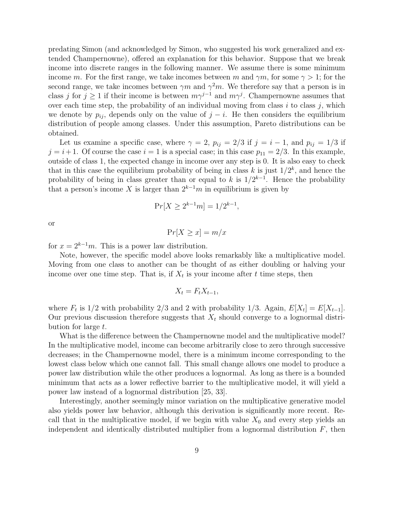predating Simon (and acknowledged by Simon, who suggested his work generalized and extended Champernowne), offered an explanation for this behavior. Suppose that we break income into discrete ranges in the following manner. We assume there is some minimum income m. For the first range, we take incomes between m and  $\gamma m$ , for some  $\gamma > 1$ ; for the second range, we take incomes between  $\gamma m$  and  $\gamma^2 m$ . We therefore say that a person is in class j for  $j \geq 1$  if their income is between  $m\gamma^{j-1}$  and  $m\gamma^j$ . Champernowne assumes that over each time step, the probability of an individual moving from class  $i$  to class  $j$ , which we denote by  $p_{ij}$ , depends only on the value of  $j - i$ . He then considers the equilibrium distribution of people among classes. Under this assumption, Pareto distributions can be obtained.

Let us examine a specific case, where  $\gamma = 2$ ,  $p_{ij} = 2/3$  if  $j = i - 1$ , and  $p_{ij} = 1/3$  if  $j = i + 1$ . Of course the case  $i = 1$  is a special case; in this case  $p_{11} = 2/3$ . In this example, outside of class 1, the expected change in income over any step is 0. It is also easy to check that in this case the equilibrium probability of being in class k is just  $1/2^k$ , and hence the probability of being in class greater than or equal to k is  $1/2^{k-1}$ . Hence the probability that a person's income X is larger than  $2^{k-1}m$  in equilibrium is given by

$$
Pr[X \ge 2^{k-1}m] = 1/2^{k-1},
$$

or

$$
\Pr[X \ge x] = m/x
$$

for  $x = 2^{k-1}m$ . This is a power law distribution.

Note, however, the specific model above looks remarkably like a multiplicative model. Moving from one class to another can be thought of as either doubling or halving your income over one time step. That is, if  $X_t$  is your income after t time steps, then

$$
X_t = F_t X_{t-1},
$$

where  $F_t$  is 1/2 with probability 2/3 and 2 with probability 1/3. Again,  $E[X_t] = E[X_{t-1}]$ . Our previous discussion therefore suggests that  $X_t$  should converge to a lognormal distribution for large t.

What is the difference between the Champernowne model and the multiplicative model? In the multiplicative model, income can become arbitrarily close to zero through successive decreases; in the Champernowne model, there is a minimum income corresponding to the lowest class below which one cannot fall. This small change allows one model to produce a power law distribution while the other produces a lognormal. As long as there is a bounded minimum that acts as a lower reflective barrier to the multiplicative model, it will yield a power law instead of a lognormal distribution [25, 33].

Interestingly, another seemingly minor variation on the multiplicative generative model also yields power law behavior, although this derivation is significantly more recent. Recall that in the multiplicative model, if we begin with value  $X_0$  and every step yields an independent and identically distributed multiplier from a lognormal distribution  $F$ , then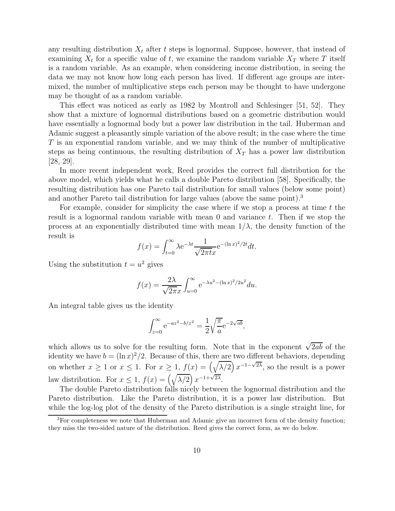any resulting distribution  $X_t$  after t steps is lognormal. Suppose, however, that instead of examining  $X_t$  for a specific value of t, we examine the random variable  $X_T$  where T itself is a random variable. As an example, when considering income distribution, in seeing the data we may not know how long each person has lived. If different age groups are intermixed, the number of multiplicative steps each person may be thought to have undergone may be thought of as a random variable.

This effect was noticed as early as 1982 by Montroll and Schlesinger [51, 52]. They show that a mixture of lognormal distributions based on a geometric distribution would have essentially a lognormal body but a power law distribution in the tail. Huberman and Adamic suggest a pleasantly simple variation of the above result; in the case where the time  $T$  is an exponential random variable, and we may think of the number of multiplicative steps as being continuous, the resulting distribution of  $X_T$  has a power law distribution  $[28, 29]$ .

In more recent independent work, Reed provides the correct full distribution for the above model, which yields what he calls a double Pareto distribution [58]. Specifically, the resulting distribution has one Pareto tail distribution for small values (below some point) and another Pareto tail distribution for large values (above the same point).<sup>3</sup>

For example, consider for simplicity the case where if we stop a process at time  $t$  the result is a lognormal random variable with mean 0 and variance t. Then if we stop the process at an exponentially distributed time with mean  $1/\lambda$ , the density function of the result is

$$
f(x) = \int_{t=0}^{\infty} \lambda e^{-\lambda t} \frac{1}{\sqrt{2\pi t}x} e^{-(\ln x)^2/2t} dt.
$$

Using the substitution  $t = u^2$  gives

$$
f(x) = \frac{2\lambda}{\sqrt{2\pi}x} \int_{u=0}^{\infty} e^{-\lambda u^2 - (\ln x)^2 / 2u^2} du.
$$

An integral table gives us the identity

$$
\int_{z=0}^{\infty} e^{-az^2 - b/z^2} = \frac{1}{2} \sqrt{\frac{\pi}{a}} e^{-2\sqrt{ab}},
$$

which allows us to solve for the resulting form. Note that in the exponent  $\sqrt{2ab}$  of the identity we have  $b = (\ln x)^2/2$ . Because of this, there are two different behaviors, depending on whether  $x \ge 1$  or  $x \le 1$ . For  $x \ge 1$ ,  $f(x) = (\sqrt{\lambda/2}) x^{-1-\sqrt{2\lambda}}$ , so the result is a power law distribution. For  $x \leq 1$ ,  $f(x) = (\sqrt{\lambda/2}) x^{-1+\sqrt{2\lambda}}$ .

The double Pareto distribution falls nicely between the lognormal distribution and the Pareto distribution. Like the Pareto distribution, it is a power law distribution. But while the log-log plot of the density of the Pareto distribution is a single straight line, for

 ${}^{3}$  For completeness we note that Huberman and Adamic give an incorrect form of the density function; they miss the two-sided nature of the distribution. Reed gives the correct form, as we do below.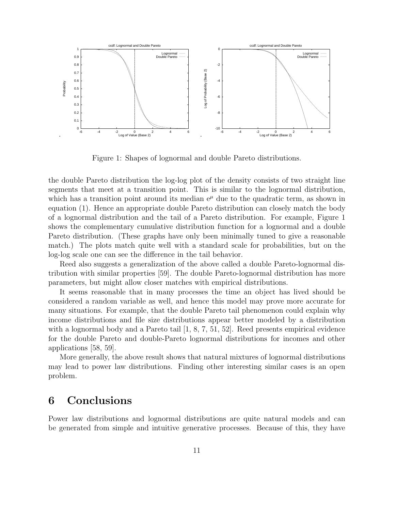

Figure 1: Shapes of lognormal and double Pareto distributions.

the double Pareto distribution the log-log plot of the density consists of two straight line segments that meet at a transition point. This is similar to the lognormal distribution, which has a transition point around its median  $e^{\mu}$  due to the quadratic term, as shown in equation (1). Hence an appropriate double Pareto distribution can closely match the body of a lognormal distribution and the tail of a Pareto distribution. For example, Figure 1 shows the complementary cumulative distribution function for a lognormal and a double Pareto distribution. (These graphs have only been minimally tuned to give a reasonable match.) The plots match quite well with a standard scale for probabilities, but on the log-log scale one can see the difference in the tail behavior.

Reed also suggests a generalization of the above called a double Pareto-lognormal distribution with similar properties [59]. The double Pareto-lognormal distribution has more parameters, but might allow closer matches with empirical distributions.

It seems reasonable that in many processes the time an object has lived should be considered a random variable as well, and hence this model may prove more accurate for many situations. For example, that the double Pareto tail phenomenon could explain why income distributions and file size distributions appear better modeled by a distribution with a lognormal body and a Pareto tail  $[1, 8, 7, 51, 52]$ . Reed presents empirical evidence for the double Pareto and double-Pareto lognormal distributions for incomes and other applications [58, 59].

More generally, the above result shows that natural mixtures of lognormal distributions may lead to power law distributions. Finding other interesting similar cases is an open problem.

#### **6 Conclusions**

Power law distributions and lognormal distributions are quite natural models and can be generated from simple and intuitive generative processes. Because of this, they have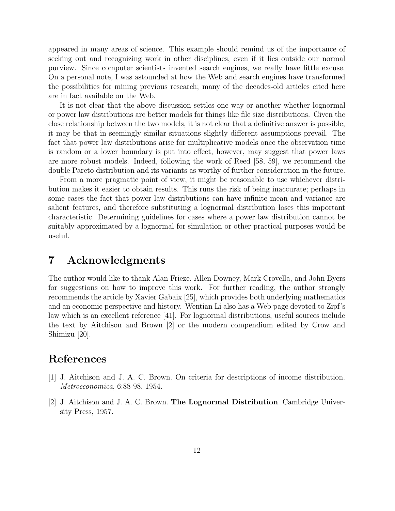appeared in many areas of science. This example should remind us of the importance of seeking out and recognizing work in other disciplines, even if it lies outside our normal purview. Since computer scientists invented search engines, we really have little excuse. On a personal note, I was astounded at how the Web and search engines have transformed the possibilities for mining previous research; many of the decades-old articles cited here are in fact available on the Web.

It is not clear that the above discussion settles one way or another whether lognormal or power law distributions are better models for things like file size distributions. Given the close relationship between the two models, it is not clear that a definitive answer is possible; it may be that in seemingly similar situations slightly different assumptions prevail. The fact that power law distributions arise for multiplicative models once the observation time is random or a lower boundary is put into effect, however, may suggest that power laws are more robust models. Indeed, following the work of Reed [58, 59], we recommend the double Pareto distribution and its variants as worthy of further consideration in the future.

From a more pragmatic point of view, it might be reasonable to use whichever distribution makes it easier to obtain results. This runs the risk of being inaccurate; perhaps in some cases the fact that power law distributions can have infinite mean and variance are salient features, and therefore substituting a lognormal distribution loses this important characteristic. Determining guidelines for cases where a power law distribution cannot be suitably approximated by a lognormal for simulation or other practical purposes would be useful.

#### **7 Acknowledgments**

The author would like to thank Alan Frieze, Allen Downey, Mark Crovella, and John Byers for suggestions on how to improve this work. For further reading, the author strongly recommends the article by Xavier Gabaix [25], which provides both underlying mathematics and an economic perspective and history. Wentian Li also has a Web page devoted to Zipf's law which is an excellent reference [41]. For lognormal distributions, useful sources include the text by Aitchison and Brown [2] or the modern compendium edited by Crow and Shimizu [20].

## **References**

- [1] J. Aitchison and J. A. C. Brown. On criteria for descriptions of income distribution. *Metroeconomica*, 6:88-98. 1954.
- [2] J. Aitchison and J. A. C. Brown. **The Lognormal Distribution**. Cambridge University Press, 1957.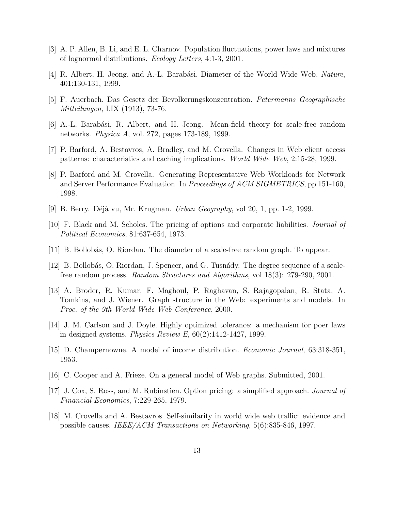- [3] A. P. Allen, B. Li, and E. L. Charnov. Population fluctuations, power laws and mixtures of lognormal distributions. *Ecology Letters*, 4:1-3, 2001.
- [4] R. Albert, H. Jeong, and A.-L. Barabási. Diameter of the World Wide Web. *Nature*, 401:130-131, 1999.
- [5] F. Auerbach. Das Gesetz der Bevolkerungskonzentration. *Petermanns Geographische Mitteilungen*, LIX (1913), 73-76.
- [6] A.-L. Barab´asi, R. Albert, and H. Jeong. Mean-field theory for scale-free random networks. *Physica A*, vol. 272, pages 173-189, 1999.
- [7] P. Barford, A. Bestavros, A. Bradley, and M. Crovella. Changes in Web client access patterns: characteristics and caching implications. *World Wide Web*, 2:15-28, 1999.
- [8] P. Barford and M. Crovella. Generating Representative Web Workloads for Network and Server Performance Evaluation. In *Proceedings of ACM SIGMETRICS*, pp 151-160, 1998.
- [9] B. Berry. D´ej`a vu, Mr. Krugman. *Urban Geography*, vol 20, 1, pp. 1-2, 1999.
- [10] F. Black and M. Scholes. The pricing of options and corporate liabilities. *Journal of Political Economics*, 81:637-654, 1973.
- [11] B. Bollob´as, O. Riordan. The diameter of a scale-free random graph. To appear.
- [12] B. Bollobás, O. Riordan, J. Spencer, and G. Tusnády. The degree sequence of a scalefree random process. *Random Structures and Algorithms*, vol 18(3): 279-290, 2001.
- [13] A. Broder, R. Kumar, F. Maghoul, P. Raghavan, S. Rajagopalan, R. Stata, A. Tomkins, and J. Wiener. Graph structure in the Web: experiments and models. In *Proc. of the 9th World Wide Web Conference*, 2000.
- [14] J. M. Carlson and J. Doyle. Highly optimized tolerance: a mechanism for poer laws in designed systems. *Physics Review E*, 60(2):1412-1427, 1999.
- [15] D. Champernowne. A model of income distribution. *Economic Journal*, 63:318-351, 1953.
- [16] C. Cooper and A. Frieze. On a general model of Web graphs. Submitted, 2001.
- [17] J. Cox, S. Ross, and M. Rubinstien. Option pricing: a simplified approach. *Journal of Financial Economics*, 7:229-265, 1979.
- [18] M. Crovella and A. Bestavros. Self-similarity in world wide web traffic: evidence and possible causes. *IEEE/ACM Transactions on Networking*, 5(6):835-846, 1997.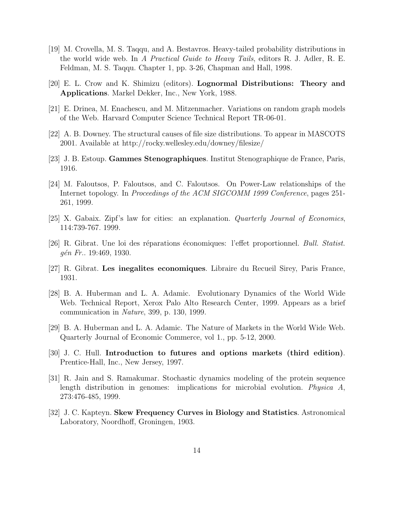- [19] M. Crovella, M. S. Taqqu, and A. Bestavros. Heavy-tailed probability distributions in the world wide web. In *A Practical Guide to Heavy Tails*, editors R. J. Adler, R. E. Feldman, M. S. Taqqu. Chapter 1, pp. 3-26, Chapman and Hall, 1998.
- [20] E. L. Crow and K. Shimizu (editors). **Lognormal Distributions: Theory and Applications**. Markel Dekker, Inc., New York, 1988.
- [21] E. Drinea, M. Enachescu, and M. Mitzenmacher. Variations on random graph models of the Web. Harvard Computer Science Technical Report TR-06-01.
- [22] A. B. Downey. The structural causes of file size distributions. To appear in MASCOTS 2001. Available at http://rocky.wellesley.edu/downey/filesize/
- [23] J. B. Estoup. **Gammes Stenographiques**. Institut Stenographique de France, Paris, 1916.
- [24] M. Faloutsos, P. Faloutsos, and C. Faloutsos. On Power-Law relationships of the Internet topology. In *Proceedings of the ACM SIGCOMM 1999 Conference*, pages 251- 261, 1999.
- [25] X. Gabaix. Zipf's law for cities: an explanation. *Quarterly Journal of Economics*, 114:739-767. 1999.
- [26] R. Gibrat. Une loi des r´eparations ´economiques: l'effet proportionnel. *Bull. Statist. g´en Fr.*. 19:469, 1930.
- [27] R. Gibrat. **Les inegalites economiques**. Libraire du Recueil Sirey, Paris France, 1931.
- [28] B. A. Huberman and L. A. Adamic. Evolutionary Dynamics of the World Wide Web. Technical Report, Xerox Palo Alto Research Center, 1999. Appears as a brief communication in *Nature*, 399, p. 130, 1999.
- [29] B. A. Huberman and L. A. Adamic. The Nature of Markets in the World Wide Web. Quarterly Journal of Economic Commerce, vol 1., pp. 5-12, 2000.
- [30] J. C. Hull. **Introduction to futures and options markets (third edition)**. Prentice-Hall, Inc., New Jersey, 1997.
- [31] R. Jain and S. Ramakumar. Stochastic dynamics modeling of the protein sequence length distribution in genomes: implications for microbial evolution. *Physica A*, 273:476-485, 1999.
- [32] J. C. Kapteyn. **Skew Frequency Curves in Biology and Statistics**. Astronomical Laboratory, Noordhoff, Groningen, 1903.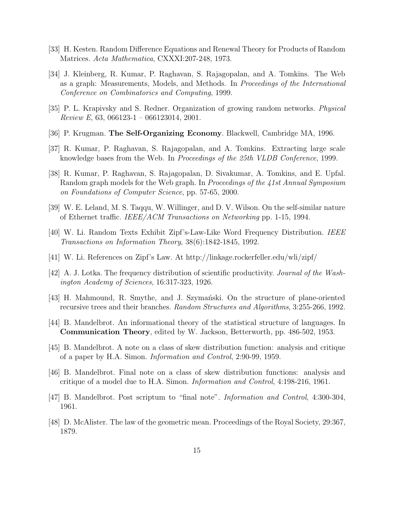- [33] H. Kesten. Random Difference Equations and Renewal Theory for Products of Random Matrices. *Acta Mathematica*, CXXXI:207-248, 1973.
- [34] J. Kleinberg, R. Kumar, P. Raghavan, S. Rajagopalan, and A. Tomkins. The Web as a graph: Measurements, Models, and Methods. In *Proceedings of the International Conference on Combinatorics and Computing*, 1999.
- [35] P. L. Krapivsky and S. Redner. Organization of growing random networks. *Physical Review E*, 63, 066123-1 – 066123014, 2001.
- [36] P. Krugman. **The Self-Organizing Economy**. Blackwell, Cambridge MA, 1996.
- [37] R. Kumar, P. Raghavan, S. Rajagopalan, and A. Tomkins. Extracting large scale knowledge bases from the Web. In *Proceedings of the 25th VLDB Conference*, 1999.
- [38] R. Kumar, P. Raghavan, S. Rajagopalan, D. Sivakumar, A. Tomkins, and E. Upfal. Random graph models for the Web graph. In *Proceedings of the 41st Annual Symposium on Foundations of Computer Science*, pp. 57-65, 2000.
- [39] W. E. Leland, M. S. Taqqu, W. Willinger, and D. V. Wilson. On the self-similar nature of Ethernet traffic. *IEEE/ACM Transactions on Networking* pp. 1-15, 1994.
- [40] W. Li. Random Texts Exhibit Zipf's-Law-Like Word Frequency Distribution. *IEEE Transactions on Information Theory*, 38(6):1842-1845, 1992.
- [41] W. Li. References on Zipf's Law. At http://linkage.rockerfeller.edu/wli/zipf/
- [42] A. J. Lotka. The frequency distribution of scientific productivity. *Journal of the Washington Academy of Sciences*, 16:317-323, 1926.
- [43] H. Mahmound, R. Smythe, and J. Szymański. On the structure of plane-oriented recursive trees and their branches. *Random Structures and Algorithms*, 3:255-266, 1992.
- [44] B. Mandelbrot. An informational theory of the statistical structure of languages. In **Communication Theory**, edited by W. Jackson, Betterworth, pp. 486-502, 1953.
- [45] B. Mandelbrot. A note on a class of skew distribution function: analysis and critique of a paper by H.A. Simon. *Information and Control*, 2:90-99, 1959.
- [46] B. Mandelbrot. Final note on a class of skew distribution functions: analysis and critique of a model due to H.A. Simon. *Information and Control*, 4:198-216, 1961.
- [47] B. Mandelbrot. Post scriptum to "final note". *Information and Control*, 4:300-304, 1961.
- [48] D. McAlister. The law of the geometric mean. Proceedings of the Royal Society, 29:367, 1879.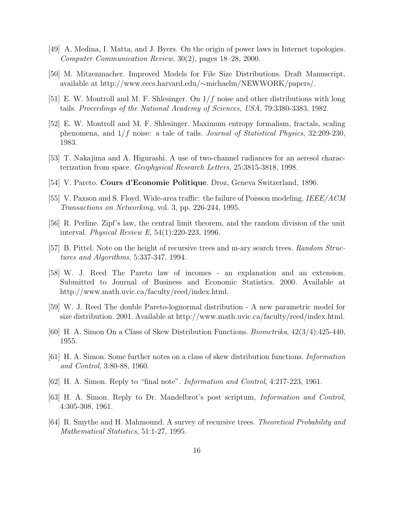- [49] A. Medina, I. Matta, and J. Byers. On the origin of power laws in Internet topologies. *Computer Communication Review*, 30(2), pages 18–28, 2000.
- [50] M. Mitzenmacher. Improved Models for File Size Distributions. Draft Manuscript, available at http://www.eecs.harvard.edu/∼michaelm/NEWWORK/papers/.
- [51] E. W. Montroll and M. F. Shlesinger. On  $1/f$  noise and other distributions with long tails. *Proceedings of the National Academy of Sciences, USA*, 79:3380-3383, 1982.
- [52] E. W. Montroll and M. F. Shlesinger. Maximum entropy formalism, fractals, scaling phenomena, and 1/f noise: a tale of tails. *Journal of Statistical Physics*, 32:209-230, 1983.
- [53] T. Nakajima and A. Higurashi. A use of two-channel radiances for an aeresol characterization from space. *Geophysical Research Letters*, 25:3815-3818, 1998.
- [54] V. Pareto. **Cours d'Economie Politique**. Droz, Geneva Switzerland, 1896.
- [55] V. Paxson and S. Floyd. Wide-area traffic: the failure of Poisson modeling. *IEEE/ACM Transactions on Networking*, vol. 3, pp. 226-244, 1995.
- [56] R. Perline. Zipf's law, the central limit theorem, and the random division of the unit interval. *Physical Review E*, 54(1):220-223, 1996.
- [57] B. Pittel. Note on the height of recursive trees and m-ary search trees. *Random Structures and Algorithms*, 5:337-347, 1994.
- [58] W. J. Reed The Pareto law of incomes an explanation and an extension. Submitted to Journal of Business and Economic Statistics. 2000. Available at http://www.math.uvic.ca/faculty/reed/index.html.
- [59] W. J. Reed The double Pareto-lognormal distribution A new parametric model for size distribution. 2001. Available at http://www.math.uvic.ca/faculty/reed/index.html.
- [60] H. A. Simon On a Class of Skew Distribution Functions. *Biometrika*, 42(3/4):425-440, 1955.
- [61] H. A. Simon. Some further notes on a class of skew distribution functions. *Information and Control*, 3:80-88, 1960.
- [62] H. A. Simon. Reply to "final note". *Information and Control*, 4:217-223, 1961.
- [63] H. A. Simon. Reply to Dr. Mandelbrot's post scriptum, *Information and Control*, 4:305-308, 1961.
- [64] R. Smythe and H. Mahmound. A survey of recursive trees. *Theoretical Probability and Mathematical Statistics*, 51:1-27, 1995.